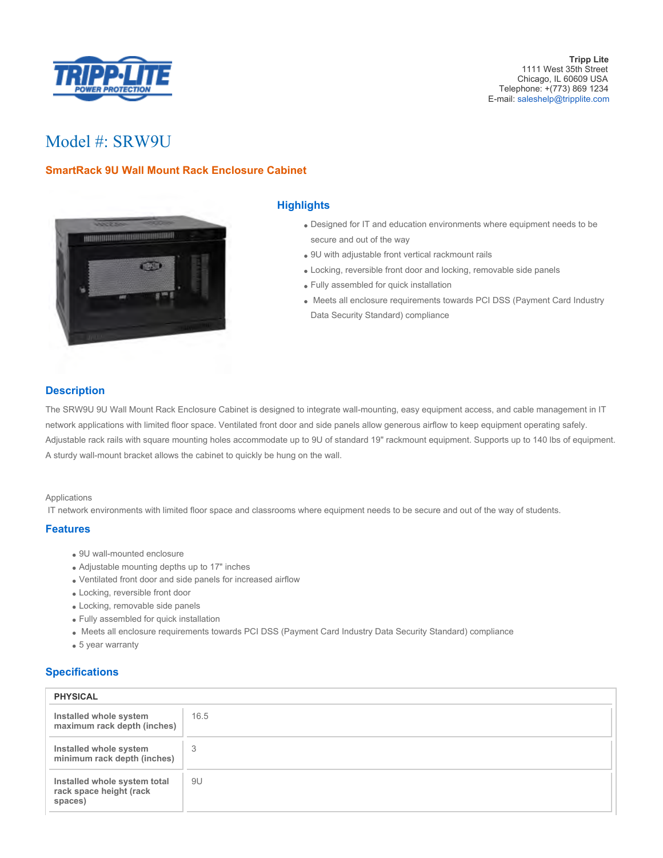

# Model #: SRW9U

# **SmartRack 9U Wall Mount Rack Enclosure Cabinet**



## **Highlights**

- Designed for IT and education environments where equipment needs to be secure and out of the way
- 9U with adjustable front vertical rackmount rails
- Locking, reversible front door and locking, removable side panels
- Fully assembled for quick installation
- Meets all enclosure requirements towards PCI DSS (Payment Card Industry Data Security Standard) compliance

## **Description**

The SRW9U 9U Wall Mount Rack Enclosure Cabinet is designed to integrate wall-mounting, easy equipment access, and cable management in IT network applications with limited floor space. Ventilated front door and side panels allow generous airflow to keep equipment operating safely. Adjustable rack rails with square mounting holes accommodate up to 9U of standard 19" rackmount equipment. Supports up to 140 lbs of equipment. A sturdy wall-mount bracket allows the cabinet to quickly be hung on the wall.

#### Applications

IT network environments with limited floor space and classrooms where equipment needs to be secure and out of the way of students.

#### **Features**

- 9U wall-mounted enclosure
- Adjustable mounting depths up to 17" inches
- Ventilated front door and side panels for increased airflow
- Locking, reversible front door
- Locking, removable side panels
- Fully assembled for quick installation
- Meets all enclosure requirements towards PCI DSS (Payment Card Industry Data Security Standard) compliance
- 5 year warranty

#### **Specifications**

| <b>PHYSICAL</b>                                                    |      |
|--------------------------------------------------------------------|------|
| Installed whole system<br>maximum rack depth (inches)              | 16.5 |
| Installed whole system<br>minimum rack depth (inches)              | 3    |
| Installed whole system total<br>rack space height (rack<br>spaces) | 9U   |